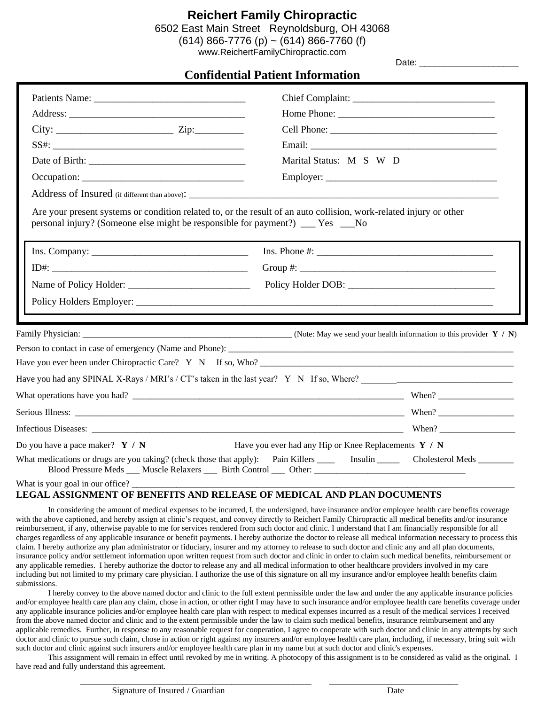### **Reichert Family Chiropractic**

6502 East Main Street Reynoldsburg, OH 43068

 $(614)$  866-7776 (p) ~ (614) 866-7760 (f)

[www.ReichertFamilyChiropractic.com](http://www.reichertfamilychiropractic.com/)  Date: \_\_\_\_\_\_\_\_\_\_\_\_\_\_\_\_\_\_\_\_

|                                                                                                                                                                                                       | <b>Confidential Patient Information</b>                                                                                            |  |  |  |  |  |  |
|-------------------------------------------------------------------------------------------------------------------------------------------------------------------------------------------------------|------------------------------------------------------------------------------------------------------------------------------------|--|--|--|--|--|--|
|                                                                                                                                                                                                       |                                                                                                                                    |  |  |  |  |  |  |
|                                                                                                                                                                                                       |                                                                                                                                    |  |  |  |  |  |  |
| $City:$ $Zip:$                                                                                                                                                                                        |                                                                                                                                    |  |  |  |  |  |  |
|                                                                                                                                                                                                       |                                                                                                                                    |  |  |  |  |  |  |
|                                                                                                                                                                                                       | Marital Status: M S W D                                                                                                            |  |  |  |  |  |  |
| Occupation:                                                                                                                                                                                           |                                                                                                                                    |  |  |  |  |  |  |
|                                                                                                                                                                                                       |                                                                                                                                    |  |  |  |  |  |  |
| Are your present systems or condition related to, or the result of an auto collision, work-related injury or other<br>personal injury? (Someone else might be responsible for payment?) ___ Yes ___No |                                                                                                                                    |  |  |  |  |  |  |
|                                                                                                                                                                                                       | $Ins. Phone #: ____________$                                                                                                       |  |  |  |  |  |  |
|                                                                                                                                                                                                       |                                                                                                                                    |  |  |  |  |  |  |
|                                                                                                                                                                                                       |                                                                                                                                    |  |  |  |  |  |  |
|                                                                                                                                                                                                       |                                                                                                                                    |  |  |  |  |  |  |
|                                                                                                                                                                                                       | Family Physician: $\frac{N}{N}$ / N)                                                                                               |  |  |  |  |  |  |
|                                                                                                                                                                                                       |                                                                                                                                    |  |  |  |  |  |  |
|                                                                                                                                                                                                       | Have you ever been under Chiropractic Care? $Y \times N$ If so, Who?                                                               |  |  |  |  |  |  |
|                                                                                                                                                                                                       | Have you had any SPINAL X-Rays / MRI's / CT's taken in the last year? Y N If so, Where?                                            |  |  |  |  |  |  |
|                                                                                                                                                                                                       |                                                                                                                                    |  |  |  |  |  |  |
|                                                                                                                                                                                                       |                                                                                                                                    |  |  |  |  |  |  |
|                                                                                                                                                                                                       |                                                                                                                                    |  |  |  |  |  |  |
| Do you have a pace maker? $Y / N$                                                                                                                                                                     | Have you ever had any Hip or Knee Replacements $Y / N$                                                                             |  |  |  |  |  |  |
| $\sim$ $\sim$ $\sim$                                                                                                                                                                                  | What medications or drugs are you taking? (check those that apply): Pain Killers _______ Insulin _______ Cholesterol Meds ________ |  |  |  |  |  |  |

What is your goal in our office?

#### **LEGAL ASSIGNMENT OF BENEFITS AND RELEASE OF MEDICAL AND PLAN DOCUMENTS**

In considering the amount of medical expenses to be incurred, I, the undersigned, have insurance and/or employee health care benefits coverage with the above captioned, and hereby assign at clinic's request, and convey directly to Reichert Family Chiropractic all medical benefits and/or insurance reimbursement, if any, otherwise payable to me for services rendered from such doctor and clinic. I understand that I am financially responsible for all charges regardless of any applicable insurance or benefit payments. I hereby authorize the doctor to release all medical information necessary to process this claim. I hereby authorize any plan administrator or fiduciary, insurer and my attorney to release to such doctor and clinic any and all plan documents, insurance policy and/or settlement information upon written request from such doctor and clinic in order to claim such medical benefits, reimbursement or any applicable remedies. I hereby authorize the doctor to release any and all medical information to other healthcare providers involved in my care including but not limited to my primary care physician. I authorize the use of this signature on all my insurance and/or employee health benefits claim submissions.

I hereby convey to the above named doctor and clinic to the full extent permissible under the law and under the any applicable insurance policies and/or employee health care plan any claim, chose in action, or other right I may have to such insurance and/or employee health care benefits coverage under any applicable insurance policies and/or employee health care plan with respect to medical expenses incurred as a result of the medical services I received from the above named doctor and clinic and to the extent permissible under the law to claim such medical benefits, insurance reimbursement and any applicable remedies. Further, in response to any reasonable request for cooperation, I agree to cooperate with such doctor and clinic in any attempts by such doctor and clinic to pursue such claim, chose in action or right against my insurers and/or employee health care plan, including, if necessary, bring suit with such doctor and clinic against such insurers and/or employee health care plan in my name but at such doctor and clinic's expenses.

This assignment will remain in effect until revoked by me in writing. A photocopy of this assignment is to be considered as valid as the original. I have read and fully understand this agreement.

\_\_\_\_\_\_\_\_\_\_\_\_\_\_\_\_\_\_\_\_\_\_\_\_\_\_\_\_\_\_\_\_\_\_\_\_\_\_\_\_\_\_\_\_\_\_\_\_\_\_\_\_ \_\_\_\_\_\_\_\_\_\_\_\_\_\_\_\_\_\_\_\_\_\_\_\_\_\_\_\_\_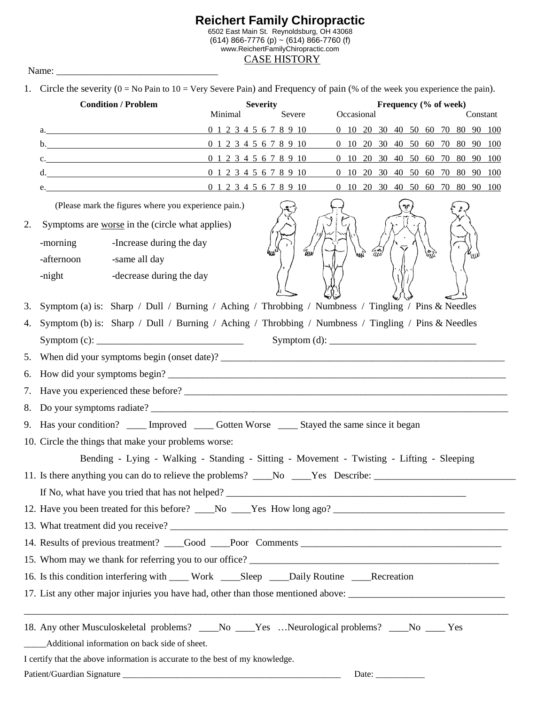#### **Reichert Family Chiropractic** 6502 East Main St. Reynoldsburg, OH 43068 (614) 866-7776 (p) ~ (614) 866-7760 (f) www.ReichertFamilyChiropractic.com CASE HISTORY

Name: \_\_\_\_\_\_\_\_\_\_\_\_\_\_\_\_\_\_\_\_\_\_\_\_\_\_\_\_\_\_\_\_\_

1. Circle the severity  $(0 - No P<sub>2</sub>)$  to  $10 - Var<sub>V</sub>$  Severe Pain) and Frequency of pain  $(\%$  of the week you experience the pain).

|    | <b>Condition / Problem</b>                                                                            | <b>Severity</b>        |                        | 1. CHECK the severity ( $0 = \text{No}$ Pain to $10 = \text{very}$ severe Pain) and Frequency of pain ( $\%$ of the week you experience the pain).<br>Frequency (% of week) |                                                      |  |                                                                                            |
|----|-------------------------------------------------------------------------------------------------------|------------------------|------------------------|-----------------------------------------------------------------------------------------------------------------------------------------------------------------------------|------------------------------------------------------|--|--------------------------------------------------------------------------------------------|
|    |                                                                                                       | Minimal                | Severe                 | Occasional                                                                                                                                                                  | Constant                                             |  |                                                                                            |
|    | a. <u>In the same set of the same set of the same set of the same set of the same</u>                 |                        | 0 1 2 3 4 5 6 7 8 9 10 |                                                                                                                                                                             | 0 10 20 30 40 50 60 70 80 90 100                     |  |                                                                                            |
|    | $\mathbf{b}$ .                                                                                        |                        | 0 1 2 3 4 5 6 7 8 9 10 |                                                                                                                                                                             | 0 10 20 30 40 50 60 70 80 90 100                     |  |                                                                                            |
|    | c. 0 1 2 3 4 5 6 7 8 9 10                                                                             |                        |                        |                                                                                                                                                                             | 0 10 20 30 40 50 60 70 80 90 100                     |  |                                                                                            |
|    | d. $0 1 2 3 4 5 6 7 8 9 10$                                                                           |                        |                        |                                                                                                                                                                             | 0 10 20 30 40 50 60 70 80 90 100                     |  |                                                                                            |
|    | <u> 1980 - Johann Barbara, martin amerikan personal (</u>                                             | 0 1 2 3 4 5 6 7 8 9 10 |                        |                                                                                                                                                                             | $0$ 10 20 30 40 50 60 70 80 90 100                   |  |                                                                                            |
|    |                                                                                                       |                        |                        |                                                                                                                                                                             |                                                      |  |                                                                                            |
| 2. | Symptoms are worse in the (circle what applies)                                                       |                        |                        |                                                                                                                                                                             |                                                      |  |                                                                                            |
|    | -Increase during the day<br>-morning                                                                  |                        | $\eta_{\mu}$           | $\widetilde{u}$<br>4m                                                                                                                                                       | $\mathcal{G}^{\mathcal{A}}_{\mathcal{U}\mathcal{N}}$ |  |                                                                                            |
|    | -same all day<br>-afternoon                                                                           |                        |                        |                                                                                                                                                                             | $\mathbf{z}_{\mathrm{un}}$                           |  |                                                                                            |
|    | -night<br>-decrease during the day                                                                    |                        |                        |                                                                                                                                                                             |                                                      |  |                                                                                            |
|    | 3. Symptom (a) is: Sharp / Dull / Burning / Aching / Throbbing / Numbness / Tingling / Pins & Needles |                        |                        |                                                                                                                                                                             |                                                      |  |                                                                                            |
|    | 4. Symptom (b) is: Sharp / Dull / Burning / Aching / Throbbing / Numbness / Tingling / Pins & Needles |                        |                        |                                                                                                                                                                             |                                                      |  |                                                                                            |
|    |                                                                                                       |                        |                        |                                                                                                                                                                             |                                                      |  |                                                                                            |
|    | 5. When did your symptoms begin (onset date)?                                                         |                        |                        |                                                                                                                                                                             |                                                      |  |                                                                                            |
|    | 6. How did your symptoms begin?                                                                       |                        |                        |                                                                                                                                                                             |                                                      |  |                                                                                            |
|    |                                                                                                       |                        |                        |                                                                                                                                                                             |                                                      |  |                                                                                            |
|    |                                                                                                       |                        |                        |                                                                                                                                                                             |                                                      |  | 9. Has your condition? ____ Improved ____ Gotten Worse ____ Stayed the same since it began |
|    | 10. Circle the things that make your problems worse:                                                  |                        |                        |                                                                                                                                                                             |                                                      |  |                                                                                            |
|    | Bending - Lying - Walking - Standing - Sitting - Movement - Twisting - Lifting - Sleeping             |                        |                        |                                                                                                                                                                             |                                                      |  |                                                                                            |
|    | 11. Is there anything you can do to relieve the problems? ____No ____Yes Describe: _________________  |                        |                        |                                                                                                                                                                             |                                                      |  |                                                                                            |
|    |                                                                                                       |                        |                        |                                                                                                                                                                             |                                                      |  |                                                                                            |
|    |                                                                                                       |                        |                        |                                                                                                                                                                             |                                                      |  |                                                                                            |
|    |                                                                                                       |                        |                        |                                                                                                                                                                             |                                                      |  |                                                                                            |
|    |                                                                                                       |                        |                        |                                                                                                                                                                             |                                                      |  |                                                                                            |
|    |                                                                                                       |                        |                        |                                                                                                                                                                             |                                                      |  |                                                                                            |
|    | 16. Is this condition interfering with ____ Work ____Sleep ____Daily Routine ____Recreation           |                        |                        |                                                                                                                                                                             |                                                      |  |                                                                                            |
|    |                                                                                                       |                        |                        |                                                                                                                                                                             |                                                      |  |                                                                                            |
|    | 17. List any other major injuries you have had, other than those mentioned above:                     |                        |                        |                                                                                                                                                                             |                                                      |  |                                                                                            |
|    | 18. Any other Musculoskeletal problems? ____No ____Yes Neurological problems? ____No ____Yes          |                        |                        |                                                                                                                                                                             |                                                      |  |                                                                                            |
|    | _____Additional information on back side of sheet.                                                    |                        |                        |                                                                                                                                                                             |                                                      |  |                                                                                            |
|    | I certify that the above information is accurate to the best of my knowledge.                         |                        |                        |                                                                                                                                                                             |                                                      |  |                                                                                            |
|    |                                                                                                       |                        |                        | Date: $\_\_$                                                                                                                                                                |                                                      |  |                                                                                            |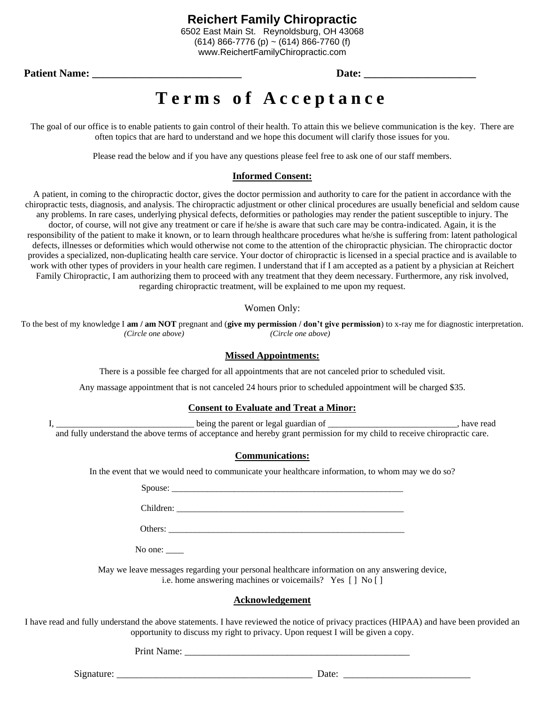www.ReichertFamilyChiropractic.com

**Patient Name:**  $\qquad \qquad$  **Date:**  $\qquad \qquad$ 

## Terms of Acceptance

The goal of our office is to enable patients to gain control of their health. To attain this we believe communication is the key. There are often topics that are hard to understand and we hope this document will clarify those issues for you.

Please read the below and if you have any questions please feel free to ask one of our staff members.

#### **Informed Consent:**

A patient, in coming to the chiropractic doctor, gives the doctor permission and authority to care for the patient in accordance with the chiropractic tests, diagnosis, and analysis. The chiropractic adjustment or other clinical procedures are usually beneficial and seldom cause any problems. In rare cases, underlying physical defects, deformities or pathologies may render the patient susceptible to injury. The doctor, of course, will not give any treatment or care if he/she is aware that such care may be contra-indicated. Again, it is the responsibility of the patient to make it known, or to learn through healthcare procedures what he/she is suffering from: latent pathological defects, illnesses or deformities which would otherwise not come to the attention of the chiropractic physician. The chiropractic doctor provides a specialized, non-duplicating health care service. Your doctor of chiropractic is licensed in a special practice and is available to work with other types of providers in your health care regimen. I understand that if I am accepted as a patient by a physician at Reichert Family Chiropractic, I am authorizing them to proceed with any treatment that they deem necessary. Furthermore, any risk involved, regarding chiropractic treatment, will be explained to me upon my request.

#### Women Only:

To the best of my knowledge I **am / am NOT** pregnant and (**give my permission / don't give permission**) to x-ray me for diagnostic interpretation.  *(Circle one above) (Circle one above)*

#### **Missed Appointments:**

There is a possible fee charged for all appointments that are not canceled prior to scheduled visit.

Any massage appointment that is not canceled 24 hours prior to scheduled appointment will be charged \$35.

#### **Consent to Evaluate and Treat a Minor:**

I, \_\_\_\_\_\_\_\_\_\_\_\_\_\_\_\_\_\_\_\_\_\_\_\_\_\_\_\_\_\_\_ being the parent or legal guardian of \_\_\_\_\_\_\_\_\_\_\_\_\_\_\_\_\_\_\_\_\_\_\_\_\_\_\_\_\_, have read

and fully understand the above terms of acceptance and hereby grant permission for my child to receive chiropractic care.

#### **Communications:**

In the event that we would need to communicate your healthcare information, to whom may we do so?

Spouse:

Children:

Others: \_\_\_\_\_\_\_\_\_\_\_\_\_\_\_\_\_\_\_\_\_\_\_\_\_\_\_\_\_\_\_\_\_\_\_\_\_\_\_\_\_\_\_\_\_\_\_\_\_\_\_\_\_

No one:

May we leave messages regarding your personal healthcare information on any answering device, i.e. home answering machines or voicemails? Yes [ ] No [ ]

#### **Acknowledgement**

I have read and fully understand the above statements. I have reviewed the notice of privacy practices (HIPAA) and have been provided an opportunity to discuss my right to privacy. Upon request I will be given a copy.

Print Name: \_\_\_\_\_\_\_\_\_\_\_\_\_\_\_\_\_\_\_\_\_\_\_\_\_\_\_\_\_\_\_\_\_\_\_\_\_\_\_\_\_\_\_\_\_\_

 $Signature: \_\_\_\_\_\_\_$